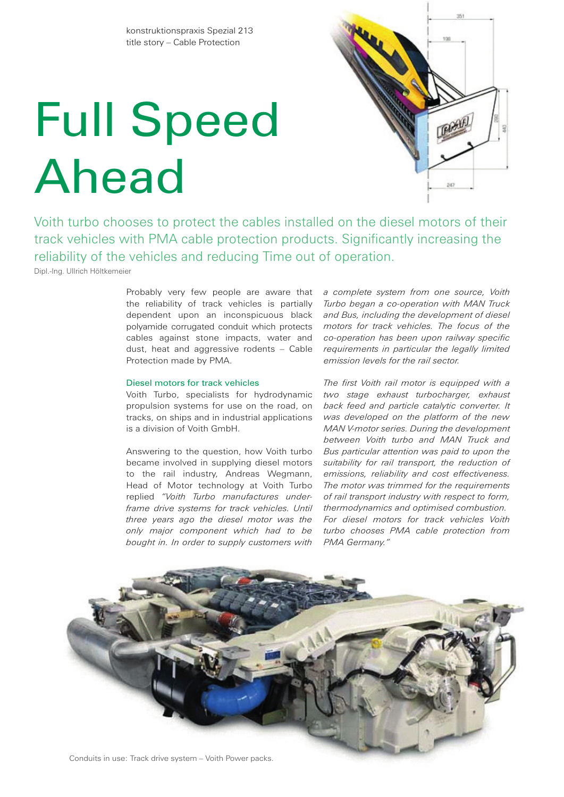# Full Speed Ahead



Voith turbo chooses to protect the cables installed on the diesel motors of their track vehicles with PMA cable protection products. Significantly increasing the reliability of the vehicles and reducing Time out of operation.

Dipl.-Ing. Ullrich Höltkemeier

Probably very few people are aware that the reliability of track vehicles is partially dependent upon an inconspicuous black polyamide corrugated conduit which protects cables against stone impacts, water and dust, heat and aggressive rodents – Cable Protection made by PMA.

# Diesel motors for track vehicles

Voith Turbo, specialists for hydrodynamic propulsion systems for use on the road, on tracks, on ships and in industrial applications is a division of Voith GmbH.

Answering to the question, how Voith turbo became involved in supplying diesel motors to the rail industry, Andreas Wegmann, Head of Motor technology at Voith Turbo replied *"Voith Turbo manufactures underframe drive systems for track vehicles. Until three years ago the diesel motor was the only major component which had to be bought in. In order to supply customers with* 

*a complete system from one source, Voith Turbo began a co-operation with MAN Truck and Bus, including the development of diesel motors for track vehicles. The focus of the co-operation has been upon railway specific requirements in particular the legally limited emission levels for the rail sector.*

*The first Voith rail motor is equipped with a two stage exhaust turbocharger, exhaust back feed and particle catalytic converter. It was developed on the platform of the new MAN V-motor series. During the development between Voith turbo and MAN Truck and Bus particular attention was paid to upon the suitability for rail transport, the reduction of emissions, reliability and cost effectiveness. The motor was trimmed for the requirements of rail transport industry with respect to form, thermodynamics and optimised combustion. For diesel motors for track vehicles Voith turbo chooses PMA cable protection from PMA Germany."*



Conduits in use: Track drive system – Voith Power packs.